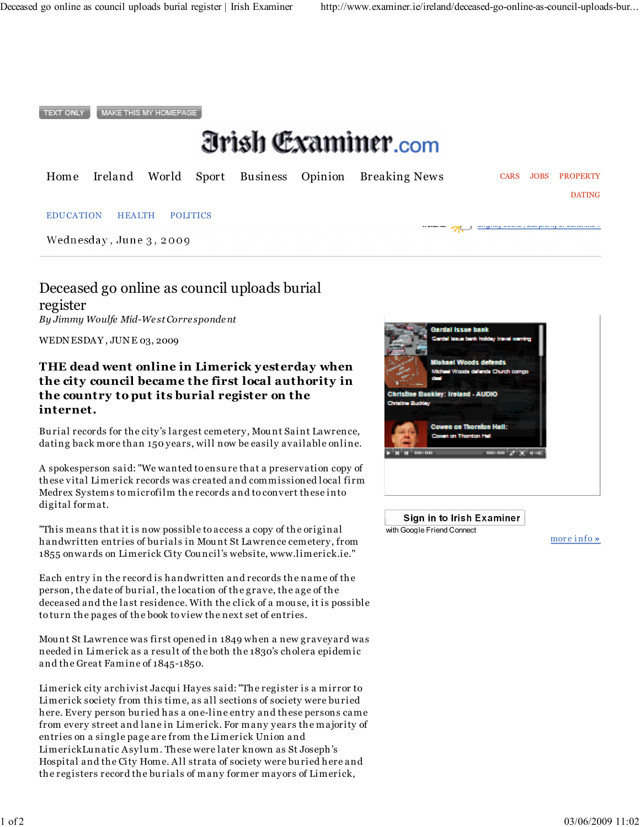**TEXT ONLY** MAKE THIS MY HOMEPAGE

# *Orish Examiner.com*

|  |  |  | Home Ireland World Sport Business Opinion Breaking News |  | CARS JOBS PROPERTY |
|--|--|--|---------------------------------------------------------|--|--------------------|
|  |  |  |                                                         |  | <b>DATING</b>      |

#### **EDUCATION** HEALTH **POLITICS**

Wednesday, June 3, 2009

Deceased go online as council uploads burial register

By Jimmy Woulfe Mid-West Correspondent

WEDNESDAY, JUNE 03, 2009

### THE dead went online in Limerick yesterday when the city council became the first local authority in the country to put its burial register on the internet.

Burial records for the city's largest cemetery, Mount Saint Lawrence, dating back more than 150 years, will now be easily available online.

A spokesperson said: "We wanted to ensure that a preservation copy of these vital Limerick records was created and commissioned local firm Medrex Systems to microfilm the records and to convert these into digital format.

"This means that it is now possible to access a copy of the original handwritten entries of burials in Mount St Lawrence cemetery, from 1855 on wards on Limerick City Council's website, www.limerick.ie."

Each entry in the record is handwritten and records the name of the person, the date of burial, the location of the grave, the age of the deceased and the last residence. With the click of a mouse, it is possible to turn the pages of the book to view the next set of entries.

Mount St Lawrence was first opened in 1849 when a new gravey ard was needed in Limerick as a result of the both the 1830's cholera epidemic and the Great Famine of 1845-1850.

Limerick city archivist Jacqui Hayes said: "The register is a mirror to Limerick society from this time, as all sections of society were buried here. Every person buried has a one-line entry and these persons came from every street and lane in Limerick. For many years the majority of entries on a single page are from the Limerick Union and LimerickLunatic Asylum. These were later known as St Joseph's Hospital and the City Home. All strata of society were buried here and the registers record the burials of many former mayors of Limerick,



Sign in to Irish Examiner⊤ with Google Friend Connect

more info »